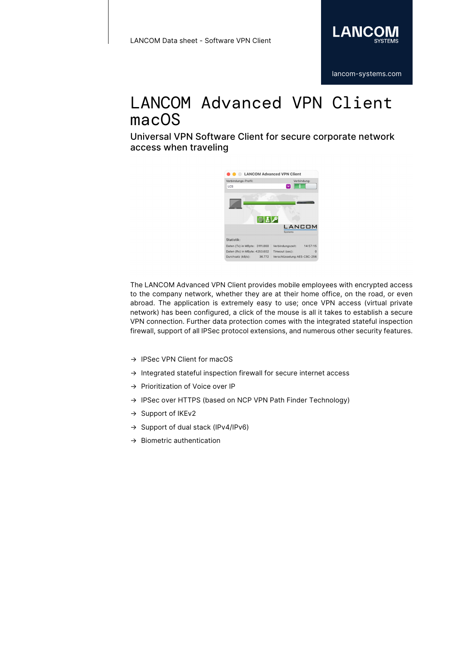

Universal VPN Software Client for secure corporate network access when traveling



The LANCOM Advanced VPN Client provides mobile employees with encrypted access to the company network, whether they are at their home office, on the road, or even abroad. The application is extremely easy to use; once VPN access (virtual private network) has been configured, a click of the mouse is all it takes to establish a secure VPN connection. Further data protection comes with the integrated stateful inspection firewall, support of all IPSec protocol extensions, and numerous other security features.

- → IPSec VPN Client for macOS
- → Integrated stateful inspection firewall for secure internet access
- → Prioritization of Voice over IP
- → IPSec over HTTPS (based on NCP VPN Path Finder Technology)
- → Support of IKEv2
- → Support of dual stack (IPv4/IPv6)
- $\rightarrow$  Biometric authentication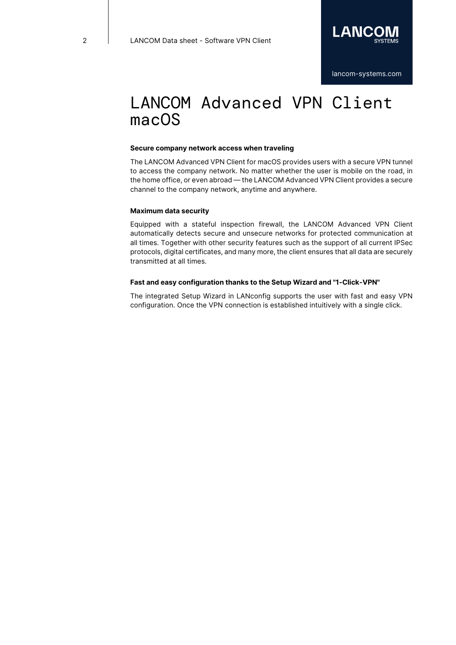#### **Secure company network access when traveling**

The LANCOM Advanced VPN Client for macOS provides users with a secure VPN tunnel to access the company network. No matter whether the user is mobile on the road, in the home office, or even abroad — the LANCOM Advanced VPN Client provides a secure channel to the company network, anytime and anywhere.

### **Maximum data security**

Equipped with a stateful inspection firewall, the LANCOM Advanced VPN Client automatically detects secure and unsecure networks for protected communication at all times. Together with other security features such as the support of all current IPSec protocols, digital certificates, and many more, the client ensures that all data are securely transmitted at all times.

### **Fast and easy configuration thanks to the Setup Wizard and "1-Click-VPN"**

The integrated Setup Wizard in LANconfig supports the user with fast and easy VPN configuration. Once the VPN connection is established intuitively with a single click.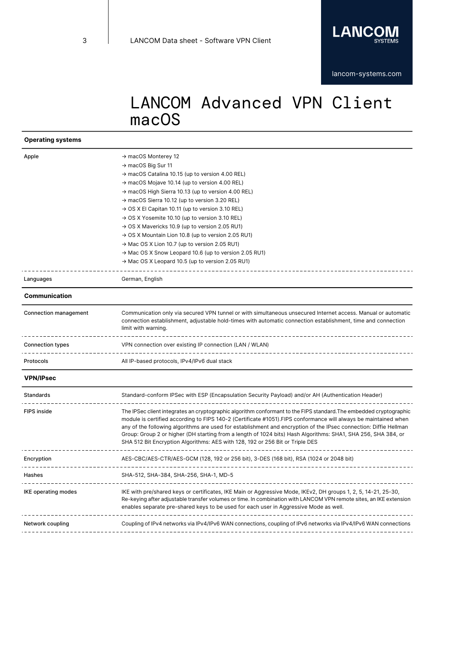

## **Operating systems**

| $\rightarrow$ macOS Monterey 12                                                                                    |
|--------------------------------------------------------------------------------------------------------------------|
| → macOS Big Sur 11                                                                                                 |
| → macOS Catalina 10.15 (up to version 4.00 REL)                                                                    |
| → macOS Mojave 10.14 (up to version 4.00 REL)                                                                      |
| $\rightarrow$ macOS High Sierra 10.13 (up to version 4.00 REL)                                                     |
| $\rightarrow$ macOS Sierra 10.12 (up to version 3.20 REL)                                                          |
| $\rightarrow$ OS X El Capitan 10.11 (up to version 3.10 REL)                                                       |
| $\rightarrow$ OS X Yosemite 10.10 (up to version 3.10 REL)                                                         |
| → OS X Mavericks 10.9 (up to version 2.05 RU1)                                                                     |
| $\rightarrow$ OS X Mountain Lion 10.8 (up to version 2.05 RU1)                                                     |
| → Mac OS X Lion 10.7 (up to version 2.05 RU1)                                                                      |
| $\rightarrow$ Mac OS X Snow Leopard 10.6 (up to version 2.05 RU1)                                                  |
| → Mac OS X Leopard 10.5 (up to version 2.05 RU1)                                                                   |
| German, English                                                                                                    |
|                                                                                                                    |
| Communication only via secured VPN tunnel or with simultaneous unsecured Internet access. Manual or automatic      |
| connection establishment, adjustable hold-times with automatic connection establishment, time and connection       |
| limit with warning.                                                                                                |
|                                                                                                                    |
| VPN connection over existing IP connection (LAN / WLAN)                                                            |
| All IP-based protocols, IPv4/IPv6 dual stack                                                                       |
|                                                                                                                    |
| Standard-conform IPSec with ESP (Encapsulation Security Payload) and/or AH (Authentication Header)                 |
| The IPSec client integrates an cryptographic algorithm conformant to the FIPS standard. The embedded cryptographic |
| module is certified according to FIPS 140-2 (Certificate #1051). FIPS conformance will always be maintained when   |
| any of the following algorithms are used for establishment and encryption of the IPsec connection: Diffie Hellman  |
| Group: Group 2 or higher (DH starting from a length of 1024 bits) Hash Algorithms: SHA1, SHA 256, SHA 384, or      |
| SHA 512 Bit Encryption Algorithms: AES with 128, 192 or 256 Bit or Triple DES                                      |
| AES-CBC/AES-CTR/AES-GCM (128, 192 or 256 bit), 3-DES (168 bit), RSA (1024 or 2048 bit)                             |
| ------------------                                                                                                 |
| SHA-512, SHA-384, SHA-256, SHA-1, MD-5                                                                             |
| IKE with pre/shared keys or certificates, IKE Main or Aggressive Mode, IKEv2, DH groups 1, 2, 5, 14-21, 25-30,     |
| Re-keying after adjustable transfer volumes or time. In combination with LANCOM VPN remote sites, an IKE extension |
|                                                                                                                    |
| enables separate pre-shared keys to be used for each user in Aggressive Mode as well.                              |
| Coupling of IPv4 networks via IPv4/IPv6 WAN connections, coupling of IPv6 networks via IPv4/IPv6 WAN connections   |
|                                                                                                                    |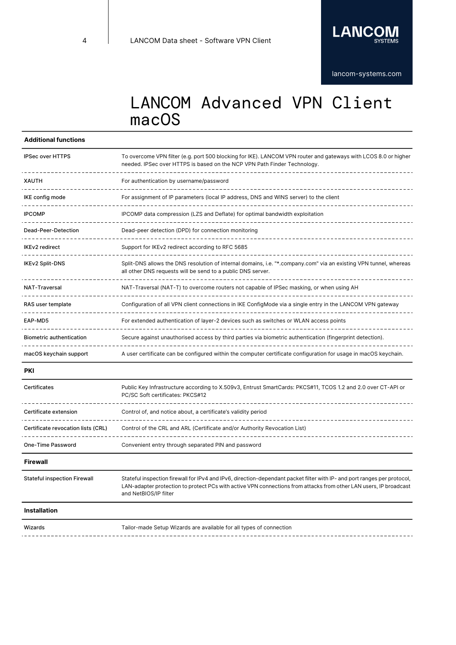

## **Additional functions**

| <b>IPSec over HTTPS</b>         | To overcome VPN filter (e.g. port 500 blocking for IKE). LANCOM VPN router and gateways with LCOS 8.0 or higher<br>needed. IPSec over HTTPS is based on the NCP VPN Path Finder Technology. |
|---------------------------------|---------------------------------------------------------------------------------------------------------------------------------------------------------------------------------------------|
| <b>XAUTH</b>                    | For authentication by username/password                                                                                                                                                     |
| IKE config mode                 | For assignment of IP parameters (local IP address, DNS and WINS server) to the client                                                                                                       |
| <b>IPCOMP</b>                   | IPCOMP data compression (LZS and Deflate) for optimal bandwidth exploitation                                                                                                                |
| Dead-Peer-Detection             | Dead-peer detection (DPD) for connection monitoring                                                                                                                                         |
| <b>IKEv2</b> redirect           | Support for IKEv2 redirect according to RFC 5685                                                                                                                                            |
| <b>IKEv2 Split-DNS</b>          | Split-DNS allows the DNS resolution of internal domains, i.e. "*.company.com" via an existing VPN tunnel, whereas<br>all other DNS requests will be send to a public DNS server.            |
| <b>NAT-Traversal</b>            | NAT-Traversal (NAT-T) to overcome routers not capable of IPSec masking, or when using AH                                                                                                    |
| RAS user template               | Configuration of all VPN client connections in IKE ConfigMode via a single entry in the LANCOM VPN gateway                                                                                  |
| EAP-MD5                         | For extended authentication of layer-2 devices such as switches or WLAN access points                                                                                                       |
| <b>Biometric authentication</b> | Secure against unauthorised access by third parties via biometric authentication (fingerprint detection).                                                                                   |
| macOS keychain support          | A user certificate can be configured within the computer certificate configuration for usage in macOS keychain.                                                                             |

#### **PKI**

| <b>Certificates</b>                 | Public Key Infrastructure according to X.509v3, Entrust SmartCards: PKCS#11, TCOS 1.2 and 2.0 over CT-API or<br>PC/SC Soft certificates: PKCS#12                                                                                                                       |
|-------------------------------------|------------------------------------------------------------------------------------------------------------------------------------------------------------------------------------------------------------------------------------------------------------------------|
| Certificate extension               | Control of, and notice about, a certificate's validity period                                                                                                                                                                                                          |
| Certificate revocation lists (CRL)  | Control of the CRL and ARL (Certificate and/or Authority Revocation List)                                                                                                                                                                                              |
| One-Time Password                   | Convenient entry through separated PIN and password                                                                                                                                                                                                                    |
| <b>Firewall</b>                     |                                                                                                                                                                                                                                                                        |
| <b>Stateful inspection Firewall</b> | Stateful inspection firewall for IPv4 and IPv6, direction-dependant packet filter with IP- and port ranges per protocol,<br>LAN-adapter protection to protect PCs with active VPN connections from attacks from other LAN users, IP broadcast<br>and NetBIOS/IP filter |

## **Installation**

Wizards **Tailor-made Setup Wizards are available for all types of connection**